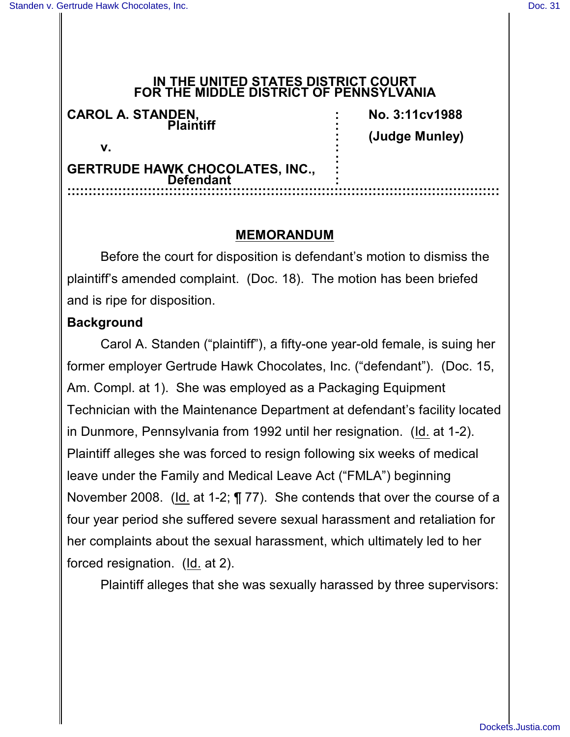#### **IN THE UNITED STATES DISTRICT COURT FOR THE MIDDLE DISTRICT OF PENNSYLVANIA**

| <b>CAROL A. STANDEN.</b><br><b>Dlaintiff</b><br>V.         | No. 3:11cv1988 |                |
|------------------------------------------------------------|----------------|----------------|
|                                                            |                | (Judge Munley) |
|                                                            |                |                |
| <b>GERTRUDE HAWK CHOCOLATES, INC.,</b><br><b>Defendant</b> |                |                |
|                                                            |                |                |

### **MEMORANDUM**

Before the court for disposition is defendant's motion to dismiss the plaintiff's amended complaint. (Doc. 18). The motion has been briefed and is ripe for disposition.

### **Background**

Carol A. Standen ("plaintiff"), a fifty-one year-old female, is suing her former employer Gertrude Hawk Chocolates, Inc. ("defendant"). (Doc. 15, Am. Compl. at 1). She was employed as a Packaging Equipment Technician with the Maintenance Department at defendant's facility located in Dunmore, Pennsylvania from 1992 until her resignation. (Id. at 1-2). Plaintiff alleges she was forced to resign following six weeks of medical leave under the Family and Medical Leave Act ("FMLA") beginning November 2008. (Id. at 1-2; ¶ 77). She contends that over the course of a four year period she suffered severe sexual harassment and retaliation for her complaints about the sexual harassment, which ultimately led to her forced resignation. (Id. at 2).

Plaintiff alleges that she was sexually harassed by three supervisors: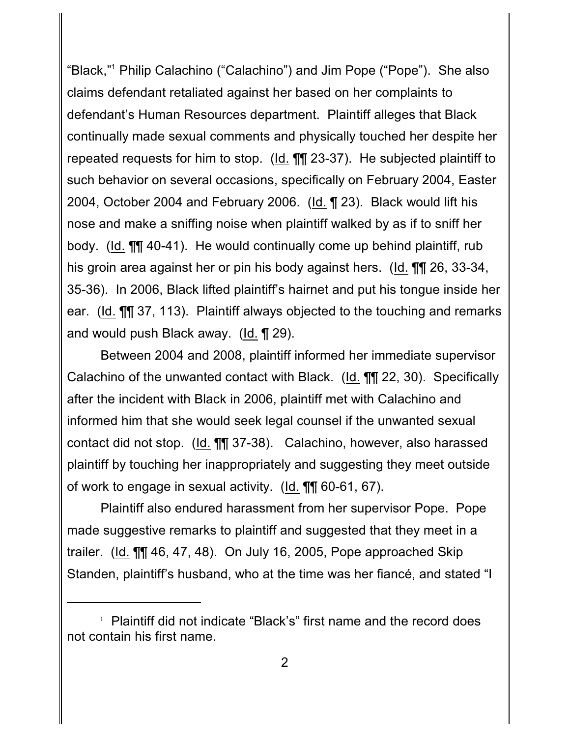"Black,"1 Philip Calachino ("Calachino") and Jim Pope ("Pope"). She also claims defendant retaliated against her based on her complaints to defendant's Human Resources department. Plaintiff alleges that Black continually made sexual comments and physically touched her despite her repeated requests for him to stop. (Id. ¶¶ 23-37). He subjected plaintiff to such behavior on several occasions, specifically on February 2004, Easter 2004, October 2004 and February 2006. (Id. ¶ 23). Black would lift his nose and make a sniffing noise when plaintiff walked by as if to sniff her body. (Id. ¶¶ 40-41). He would continually come up behind plaintiff, rub his groin area against her or pin his body against hers. (Id. ¶¶ 26, 33-34, 35-36). In 2006, Black lifted plaintiff's hairnet and put his tongue inside her ear. (Id. ¶¶ 37, 113). Plaintiff always objected to the touching and remarks and would push Black away. (Id. ¶ 29).

Between 2004 and 2008, plaintiff informed her immediate supervisor Calachino of the unwanted contact with Black. (Id. ¶¶ 22, 30). Specifically after the incident with Black in 2006, plaintiff met with Calachino and informed him that she would seek legal counsel if the unwanted sexual contact did not stop. (Id. ¶¶ 37-38). Calachino, however, also harassed plaintiff by touching her inappropriately and suggesting they meet outside of work to engage in sexual activity. (Id. ¶¶ 60-61, 67).

Plaintiff also endured harassment from her supervisor Pope. Pope made suggestive remarks to plaintiff and suggested that they meet in a trailer. (Id. ¶¶ 46, 47, 48). On July 16, 2005, Pope approached Skip Standen, plaintiff's husband, who at the time was her fiancé, and stated "I

 $\perp$  Plaintiff did not indicate "Black's" first name and the record does not contain his first name.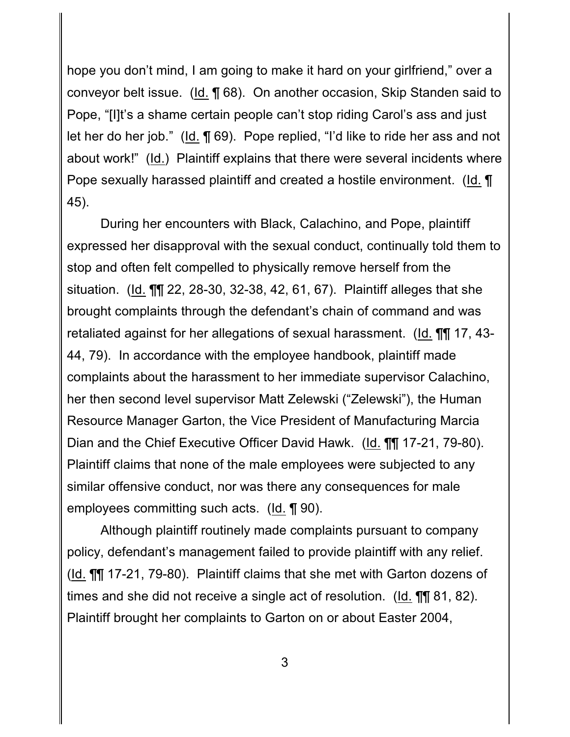hope you don't mind, I am going to make it hard on your girlfriend," over a conveyor belt issue. (Id. ¶ 68). On another occasion, Skip Standen said to Pope, "[I]t's a shame certain people can't stop riding Carol's ass and just let her do her job." (Id. ¶ 69). Pope replied, "I'd like to ride her ass and not about work!" (Id.) Plaintiff explains that there were several incidents where Pope sexually harassed plaintiff and created a hostile environment. (Id. ¶ 45).

During her encounters with Black, Calachino, and Pope, plaintiff expressed her disapproval with the sexual conduct, continually told them to stop and often felt compelled to physically remove herself from the situation. (Id. ¶¶ 22, 28-30, 32-38, 42, 61, 67). Plaintiff alleges that she brought complaints through the defendant's chain of command and was retaliated against for her allegations of sexual harassment. (Id. ¶¶ 17, 43- 44, 79). In accordance with the employee handbook, plaintiff made complaints about the harassment to her immediate supervisor Calachino, her then second level supervisor Matt Zelewski ("Zelewski"), the Human Resource Manager Garton, the Vice President of Manufacturing Marcia Dian and the Chief Executive Officer David Hawk. (Id. ¶¶ 17-21, 79-80). Plaintiff claims that none of the male employees were subjected to any similar offensive conduct, nor was there any consequences for male employees committing such acts. (Id. ¶ 90).

Although plaintiff routinely made complaints pursuant to company policy, defendant's management failed to provide plaintiff with any relief. (Id. ¶¶ 17-21, 79-80). Plaintiff claims that she met with Garton dozens of times and she did not receive a single act of resolution. (Id. ¶¶ 81, 82). Plaintiff brought her complaints to Garton on or about Easter 2004,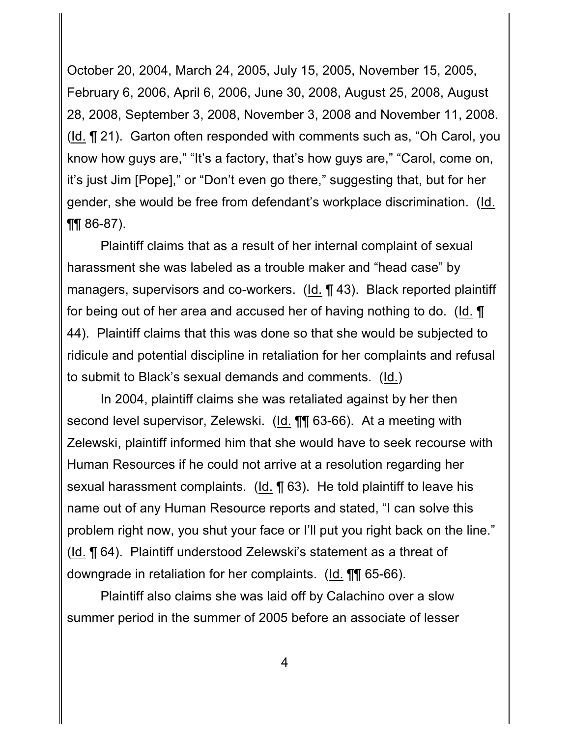October 20, 2004, March 24, 2005, July 15, 2005, November 15, 2005, February 6, 2006, April 6, 2006, June 30, 2008, August 25, 2008, August 28, 2008, September 3, 2008, November 3, 2008 and November 11, 2008. (Id. ¶ 21). Garton often responded with comments such as, "Oh Carol, you know how guys are," "It's a factory, that's how guys are," "Carol, come on, it's just Jim [Pope]," or "Don't even go there," suggesting that, but for her gender, she would be free from defendant's workplace discrimination. (Id.  $\P\P$  86-87).

Plaintiff claims that as a result of her internal complaint of sexual harassment she was labeled as a trouble maker and "head case" by managers, supervisors and co-workers. (Id. ¶ 43). Black reported plaintiff for being out of her area and accused her of having nothing to do. (Id. ¶ 44). Plaintiff claims that this was done so that she would be subjected to ridicule and potential discipline in retaliation for her complaints and refusal to submit to Black's sexual demands and comments. (Id.)

In 2004, plaintiff claims she was retaliated against by her then second level supervisor, Zelewski. (Id. ¶¶ 63-66). At a meeting with Zelewski, plaintiff informed him that she would have to seek recourse with Human Resources if he could not arrive at a resolution regarding her sexual harassment complaints. (Id. ¶ 63). He told plaintiff to leave his name out of any Human Resource reports and stated, "I can solve this problem right now, you shut your face or I'll put you right back on the line." (Id. ¶ 64). Plaintiff understood Zelewski's statement as a threat of downgrade in retaliation for her complaints. (Id. **[1]** 65-66).

Plaintiff also claims she was laid off by Calachino over a slow summer period in the summer of 2005 before an associate of lesser

4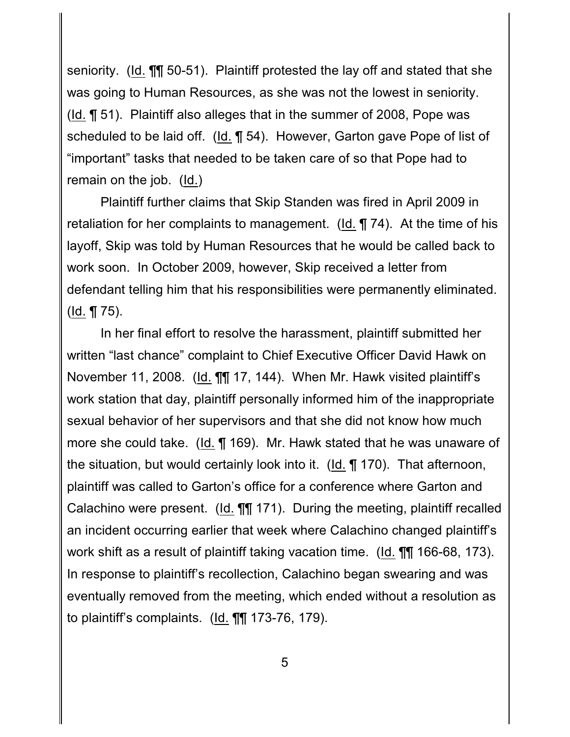seniority. (Id. ¶¶ 50-51). Plaintiff protested the lay off and stated that she was going to Human Resources, as she was not the lowest in seniority. (Id. ¶ 51). Plaintiff also alleges that in the summer of 2008, Pope was scheduled to be laid off. (Id. ¶ 54). However, Garton gave Pope of list of "important" tasks that needed to be taken care of so that Pope had to remain on the job. (Id.)

Plaintiff further claims that Skip Standen was fired in April 2009 in retaliation for her complaints to management. ( $Id. \P$  74). At the time of his layoff, Skip was told by Human Resources that he would be called back to work soon. In October 2009, however, Skip received a letter from defendant telling him that his responsibilities were permanently eliminated. ( $Id. \P 75$ ).

In her final effort to resolve the harassment, plaintiff submitted her written "last chance" complaint to Chief Executive Officer David Hawk on November 11, 2008. (Id. ¶¶ 17, 144). When Mr. Hawk visited plaintiff's work station that day, plaintiff personally informed him of the inappropriate sexual behavior of her supervisors and that she did not know how much more she could take. (Id. ¶ 169). Mr. Hawk stated that he was unaware of the situation, but would certainly look into it. (Id. ¶ 170). That afternoon, plaintiff was called to Garton's office for a conference where Garton and Calachino were present. (Id. ¶¶ 171). During the meeting, plaintiff recalled an incident occurring earlier that week where Calachino changed plaintiff's work shift as a result of plaintiff taking vacation time. (Id. ¶¶ 166-68, 173). In response to plaintiff's recollection, Calachino began swearing and was eventually removed from the meeting, which ended without a resolution as to plaintiff's complaints. (Id. ¶¶ 173-76, 179).

5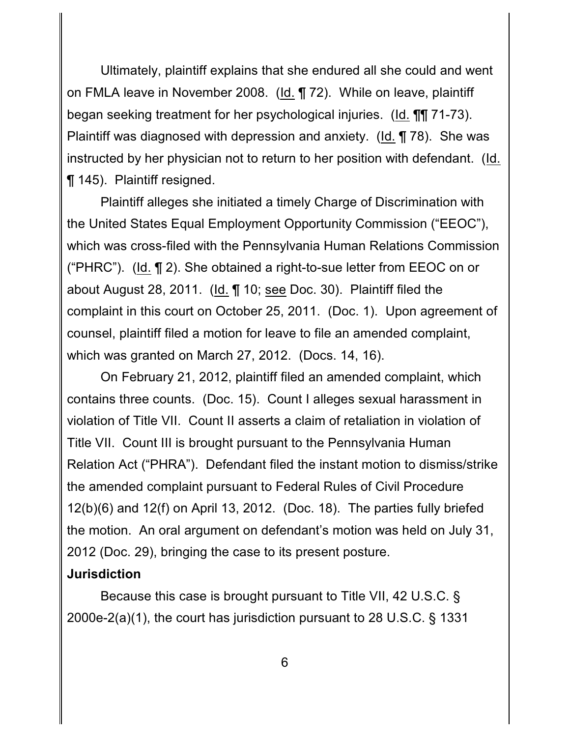Ultimately, plaintiff explains that she endured all she could and went on FMLA leave in November 2008. (Id. ¶ 72). While on leave, plaintiff began seeking treatment for her psychological injuries. (Id. ¶¶ 71-73). Plaintiff was diagnosed with depression and anxiety. (Id. ¶ 78). She was instructed by her physician not to return to her position with defendant. (Id. ¶ 145). Plaintiff resigned.

Plaintiff alleges she initiated a timely Charge of Discrimination with the United States Equal Employment Opportunity Commission ("EEOC"), which was cross-filed with the Pennsylvania Human Relations Commission ("PHRC"). (Id. ¶ 2). She obtained a right-to-sue letter from EEOC on or about August 28, 2011. (Id. 10; see Doc. 30). Plaintiff filed the complaint in this court on October 25, 2011. (Doc. 1). Upon agreement of counsel, plaintiff filed a motion for leave to file an amended complaint, which was granted on March 27, 2012. (Docs. 14, 16).

On February 21, 2012, plaintiff filed an amended complaint, which contains three counts. (Doc. 15). Count I alleges sexual harassment in violation of Title VII. Count II asserts a claim of retaliation in violation of Title VII. Count III is brought pursuant to the Pennsylvania Human Relation Act ("PHRA"). Defendant filed the instant motion to dismiss/strike the amended complaint pursuant to Federal Rules of Civil Procedure 12(b)(6) and 12(f) on April 13, 2012. (Doc. 18). The parties fully briefed the motion. An oral argument on defendant's motion was held on July 31, 2012 (Doc. 29), bringing the case to its present posture.

# **Jurisdiction**

Because this case is brought pursuant to Title VII, 42 U.S.C. § 2000e-2(a)(1), the court has jurisdiction pursuant to 28 U.S.C. § 1331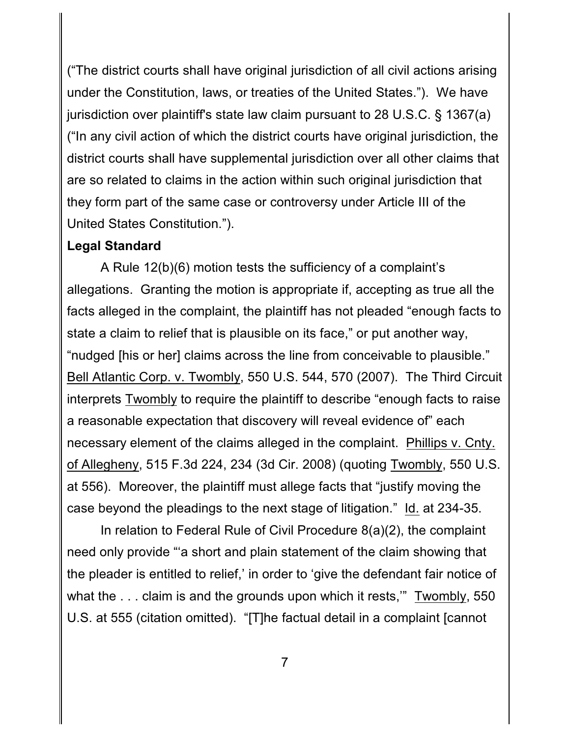("The district courts shall have original jurisdiction of all civil actions arising under the Constitution, laws, or treaties of the United States."). We have jurisdiction over plaintiff's state law claim pursuant to 28 U.S.C. § 1367(a) ("In any civil action of which the district courts have original jurisdiction, the district courts shall have supplemental jurisdiction over all other claims that are so related to claims in the action within such original jurisdiction that they form part of the same case or controversy under Article III of the United States Constitution.").

#### **Legal Standard**

A Rule 12(b)(6) motion tests the sufficiency of a complaint's allegations. Granting the motion is appropriate if, accepting as true all the facts alleged in the complaint, the plaintiff has not pleaded "enough facts to state a claim to relief that is plausible on its face," or put another way, "nudged [his or her] claims across the line from conceivable to plausible." Bell Atlantic Corp. v. Twombly, 550 U.S. 544, 570 (2007). The Third Circuit interprets Twombly to require the plaintiff to describe "enough facts to raise a reasonable expectation that discovery will reveal evidence of" each necessary element of the claims alleged in the complaint. Phillips v. Cnty. of Allegheny, 515 F.3d 224, 234 (3d Cir. 2008) (quoting Twombly, 550 U.S. at 556). Moreover, the plaintiff must allege facts that "justify moving the case beyond the pleadings to the next stage of litigation." Id. at 234-35.

In relation to Federal Rule of Civil Procedure 8(a)(2), the complaint need only provide "'a short and plain statement of the claim showing that the pleader is entitled to relief,' in order to 'give the defendant fair notice of what the . . . claim is and the grounds upon which it rests," Twombly, 550 U.S. at 555 (citation omitted). "[T]he factual detail in a complaint [cannot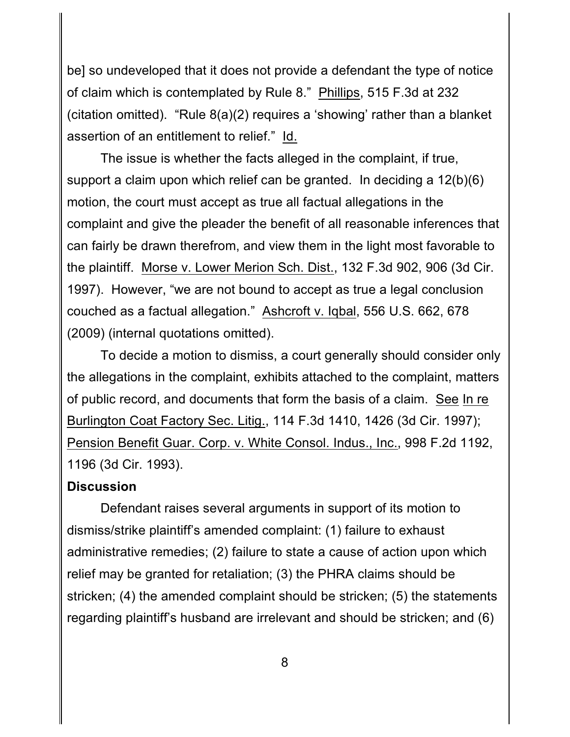be] so undeveloped that it does not provide a defendant the type of notice of claim which is contemplated by Rule 8." Phillips, 515 F.3d at 232 (citation omitted). "Rule 8(a)(2) requires a 'showing' rather than a blanket assertion of an entitlement to relief." Id.

The issue is whether the facts alleged in the complaint, if true, support a claim upon which relief can be granted. In deciding a 12(b)(6) motion, the court must accept as true all factual allegations in the complaint and give the pleader the benefit of all reasonable inferences that can fairly be drawn therefrom, and view them in the light most favorable to the plaintiff. Morse v. Lower Merion Sch. Dist., 132 F.3d 902, 906 (3d Cir. 1997). However, "we are not bound to accept as true a legal conclusion couched as a factual allegation." Ashcroft v. Iqbal, 556 U.S. 662, 678 (2009) (internal quotations omitted).

To decide a motion to dismiss, a court generally should consider only the allegations in the complaint, exhibits attached to the complaint, matters of public record, and documents that form the basis of a claim. See In re Burlington Coat Factory Sec. Litig., 114 F.3d 1410, 1426 (3d Cir. 1997); Pension Benefit Guar. Corp. v. White Consol. Indus., Inc., 998 F.2d 1192, 1196 (3d Cir. 1993).

### **Discussion**

Defendant raises several arguments in support of its motion to dismiss/strike plaintiff's amended complaint: (1) failure to exhaust administrative remedies; (2) failure to state a cause of action upon which relief may be granted for retaliation; (3) the PHRA claims should be stricken; (4) the amended complaint should be stricken; (5) the statements regarding plaintiff's husband are irrelevant and should be stricken; and (6)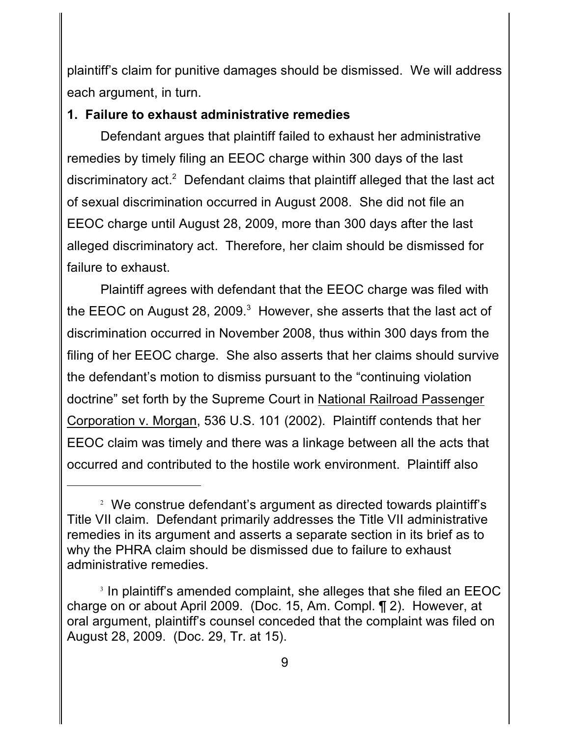plaintiff's claim for punitive damages should be dismissed. We will address each argument, in turn.

#### **1. Failure to exhaust administrative remedies**

Defendant argues that plaintiff failed to exhaust her administrative remedies by timely filing an EEOC charge within 300 days of the last discriminatory act.<sup>2</sup> Defendant claims that plaintiff alleged that the last act of sexual discrimination occurred in August 2008. She did not file an EEOC charge until August 28, 2009, more than 300 days after the last alleged discriminatory act. Therefore, her claim should be dismissed for failure to exhaust.

Plaintiff agrees with defendant that the EEOC charge was filed with the EEOC on August 28, 2009. $3$  However, she asserts that the last act of discrimination occurred in November 2008, thus within 300 days from the filing of her EEOC charge. She also asserts that her claims should survive the defendant's motion to dismiss pursuant to the "continuing violation doctrine" set forth by the Supreme Court in National Railroad Passenger Corporation v. Morgan, 536 U.S. 101 (2002). Plaintiff contends that her EEOC claim was timely and there was a linkage between all the acts that occurred and contributed to the hostile work environment. Plaintiff also

 $2$  We construe defendant's argument as directed towards plaintiff's Title VII claim. Defendant primarily addresses the Title VII administrative remedies in its argument and asserts a separate section in its brief as to why the PHRA claim should be dismissed due to failure to exhaust administrative remedies.

 $3$  In plaintiff's amended complaint, she alleges that she filed an EEOC charge on or about April 2009. (Doc. 15, Am. Compl. ¶ 2). However, at oral argument, plaintiff's counsel conceded that the complaint was filed on August 28, 2009. (Doc. 29, Tr. at 15).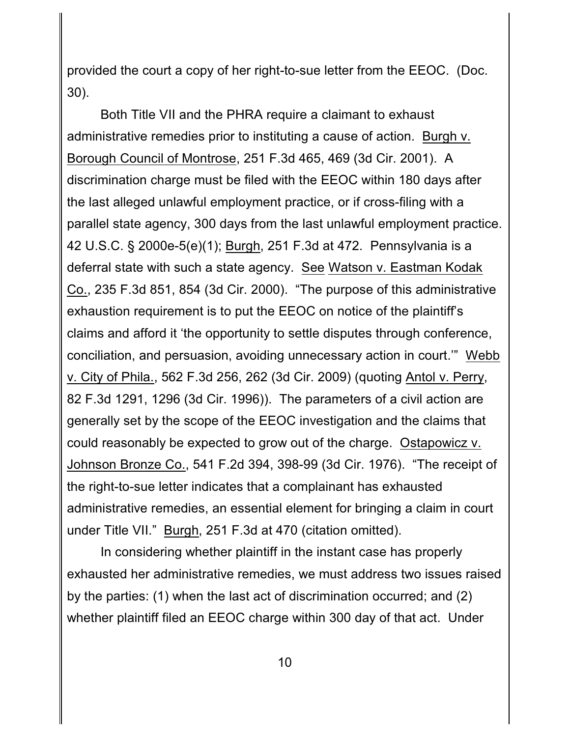provided the court a copy of her right-to-sue letter from the EEOC. (Doc. 30).

Both Title VII and the PHRA require a claimant to exhaust administrative remedies prior to instituting a cause of action. Burgh v. Borough Council of Montrose, 251 F.3d 465, 469 (3d Cir. 2001). A discrimination charge must be filed with the EEOC within 180 days after the last alleged unlawful employment practice, or if cross-filing with a parallel state agency, 300 days from the last unlawful employment practice. 42 U.S.C. § 2000e-5(e)(1); Burgh, 251 F.3d at 472. Pennsylvania is a deferral state with such a state agency. See Watson v. Eastman Kodak Co., 235 F.3d 851, 854 (3d Cir. 2000). "The purpose of this administrative exhaustion requirement is to put the EEOC on notice of the plaintiff's claims and afford it 'the opportunity to settle disputes through conference, conciliation, and persuasion, avoiding unnecessary action in court.'" Webb v. City of Phila., 562 F.3d 256, 262 (3d Cir. 2009) (quoting Antol v. Perry, 82 F.3d 1291, 1296 (3d Cir. 1996)). The parameters of a civil action are generally set by the scope of the EEOC investigation and the claims that could reasonably be expected to grow out of the charge. Ostapowicz v. Johnson Bronze Co., 541 F.2d 394, 398-99 (3d Cir. 1976). "The receipt of the right-to-sue letter indicates that a complainant has exhausted administrative remedies, an essential element for bringing a claim in court under Title VII." Burgh, 251 F.3d at 470 (citation omitted).

In considering whether plaintiff in the instant case has properly exhausted her administrative remedies, we must address two issues raised by the parties: (1) when the last act of discrimination occurred; and (2) whether plaintiff filed an EEOC charge within 300 day of that act. Under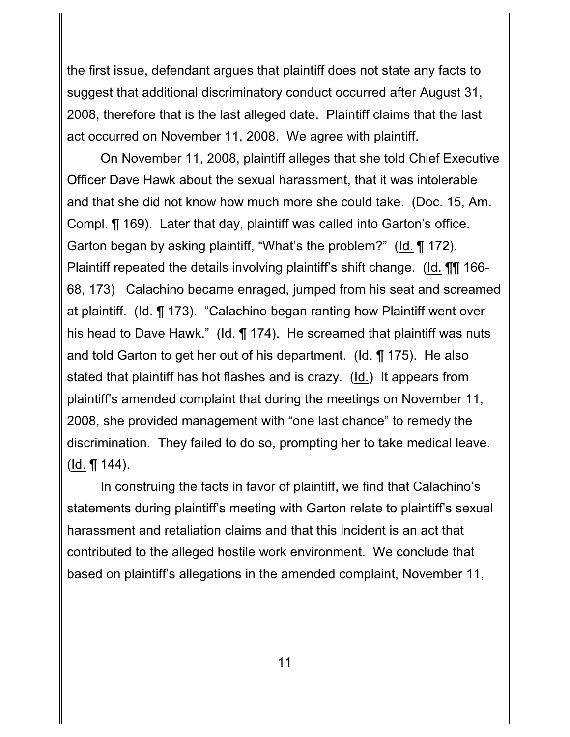the first issue, defendant argues that plaintiff does not state any facts to suggest that additional discriminatory conduct occurred after August 31, 2008, therefore that is the last alleged date. Plaintiff claims that the last act occurred on November 11, 2008. We agree with plaintiff.

On November 11, 2008, plaintiff alleges that she told Chief Executive Officer Dave Hawk about the sexual harassment, that it was intolerable and that she did not know how much more she could take. (Doc. 15, Am. Compl. ¶ 169). Later that day, plaintiff was called into Garton's office. Garton began by asking plaintiff, "What's the problem?" (Id. ¶ 172). Plaintiff repeated the details involving plaintiff's shift change. (Id. ¶¶ 166- 68, 173) Calachino became enraged, jumped from his seat and screamed at plaintiff. (Id. ¶ 173). "Calachino began ranting how Plaintiff went over his head to Dave Hawk." (Id. ¶ 174). He screamed that plaintiff was nuts and told Garton to get her out of his department. (Id. ¶ 175). He also stated that plaintiff has hot flashes and is crazy. (Id.) It appears from plaintiff's amended complaint that during the meetings on November 11, 2008, she provided management with "one last chance" to remedy the discrimination. They failed to do so, prompting her to take medical leave. (Id. ¶ 144).

In construing the facts in favor of plaintiff, we find that Calachino's statements during plaintiff's meeting with Garton relate to plaintiff's sexual harassment and retaliation claims and that this incident is an act that contributed to the alleged hostile work environment. We conclude that based on plaintiff's allegations in the amended complaint, November 11,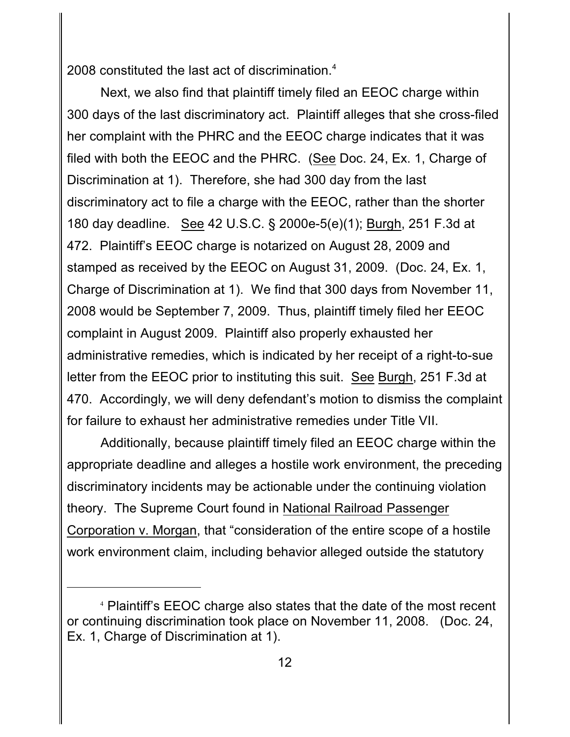2008 constituted the last act of discrimination.<sup>4</sup>

Next, we also find that plaintiff timely filed an EEOC charge within 300 days of the last discriminatory act. Plaintiff alleges that she cross-filed her complaint with the PHRC and the EEOC charge indicates that it was filed with both the EEOC and the PHRC. (See Doc. 24, Ex. 1, Charge of Discrimination at 1). Therefore, she had 300 day from the last discriminatory act to file a charge with the EEOC, rather than the shorter 180 day deadline. See 42 U.S.C. § 2000e-5(e)(1); Burgh, 251 F.3d at 472. Plaintiff's EEOC charge is notarized on August 28, 2009 and stamped as received by the EEOC on August 31, 2009. (Doc. 24, Ex. 1, Charge of Discrimination at 1). We find that 300 days from November 11, 2008 would be September 7, 2009. Thus, plaintiff timely filed her EEOC complaint in August 2009. Plaintiff also properly exhausted her administrative remedies, which is indicated by her receipt of a right-to-sue letter from the EEOC prior to instituting this suit. See Burgh, 251 F.3d at 470. Accordingly, we will deny defendant's motion to dismiss the complaint for failure to exhaust her administrative remedies under Title VII.

Additionally, because plaintiff timely filed an EEOC charge within the appropriate deadline and alleges a hostile work environment, the preceding discriminatory incidents may be actionable under the continuing violation theory. The Supreme Court found in National Railroad Passenger Corporation v. Morgan, that "consideration of the entire scope of a hostile work environment claim, including behavior alleged outside the statutory

Plaintiff's EEOC charge also states that the date of the most recent <sup>4</sup> or continuing discrimination took place on November 11, 2008. (Doc. 24, Ex. 1, Charge of Discrimination at 1).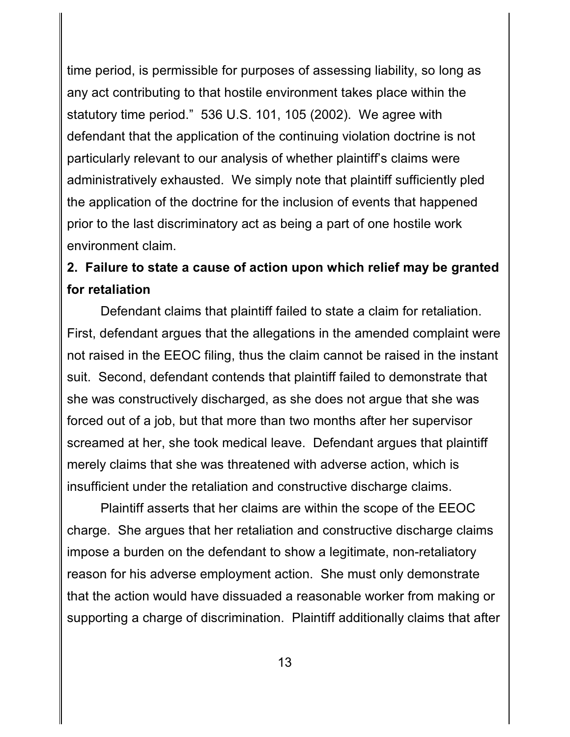time period, is permissible for purposes of assessing liability, so long as any act contributing to that hostile environment takes place within the statutory time period." 536 U.S. 101, 105 (2002). We agree with defendant that the application of the continuing violation doctrine is not particularly relevant to our analysis of whether plaintiff's claims were administratively exhausted. We simply note that plaintiff sufficiently pled the application of the doctrine for the inclusion of events that happened prior to the last discriminatory act as being a part of one hostile work environment claim.

# **2. Failure to state a cause of action upon which relief may be granted for retaliation**

Defendant claims that plaintiff failed to state a claim for retaliation. First, defendant argues that the allegations in the amended complaint were not raised in the EEOC filing, thus the claim cannot be raised in the instant suit. Second, defendant contends that plaintiff failed to demonstrate that she was constructively discharged, as she does not argue that she was forced out of a job, but that more than two months after her supervisor screamed at her, she took medical leave. Defendant argues that plaintiff merely claims that she was threatened with adverse action, which is insufficient under the retaliation and constructive discharge claims.

Plaintiff asserts that her claims are within the scope of the EEOC charge. She argues that her retaliation and constructive discharge claims impose a burden on the defendant to show a legitimate, non-retaliatory reason for his adverse employment action. She must only demonstrate that the action would have dissuaded a reasonable worker from making or supporting a charge of discrimination. Plaintiff additionally claims that after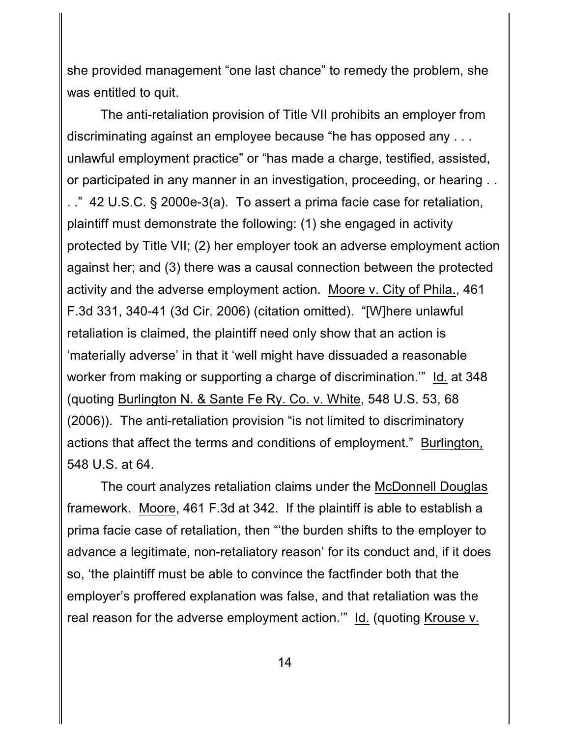she provided management "one last chance" to remedy the problem, she was entitled to quit.

The anti-retaliation provision of Title VII prohibits an employer from discriminating against an employee because "he has opposed any . . . unlawful employment practice" or "has made a charge, testified, assisted, or participated in any manner in an investigation, proceeding, or hearing . . . ." 42 U.S.C. § 2000e-3(a). To assert a prima facie case for retaliation, plaintiff must demonstrate the following: (1) she engaged in activity protected by Title VII; (2) her employer took an adverse employment action against her; and (3) there was a causal connection between the protected activity and the adverse employment action. Moore v. City of Phila., 461 F.3d 331, 340-41 (3d Cir. 2006) (citation omitted). "[W]here unlawful retaliation is claimed, the plaintiff need only show that an action is 'materially adverse' in that it 'well might have dissuaded a reasonable worker from making or supporting a charge of discrimination.'" Id. at 348 (quoting Burlington N. & Sante Fe Ry. Co. v. White, 548 U.S. 53, 68 (2006)). The anti-retaliation provision "is not limited to discriminatory actions that affect the terms and conditions of employment." Burlington, 548 U.S. at 64.

The court analyzes retaliation claims under the McDonnell Douglas framework. Moore, 461 F.3d at 342. If the plaintiff is able to establish a prima facie case of retaliation, then "'the burden shifts to the employer to advance a legitimate, non-retaliatory reason' for its conduct and, if it does so, 'the plaintiff must be able to convince the factfinder both that the employer's proffered explanation was false, and that retaliation was the real reason for the adverse employment action.'" Id. (quoting Krouse v.

14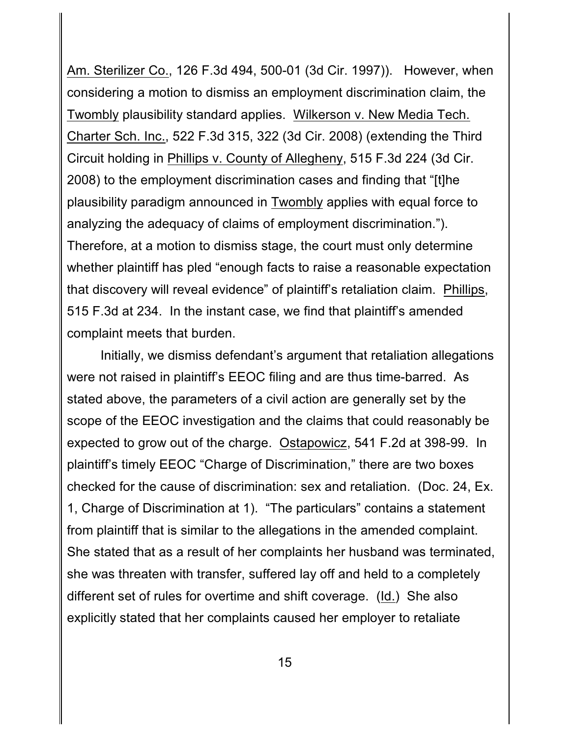Am. Sterilizer Co., 126 F.3d 494, 500-01 (3d Cir. 1997)). However, when considering a motion to dismiss an employment discrimination claim, the Twombly plausibility standard applies. Wilkerson v. New Media Tech. Charter Sch. Inc., 522 F.3d 315, 322 (3d Cir. 2008) (extending the Third Circuit holding in Phillips v. County of Allegheny, 515 F.3d 224 (3d Cir. 2008) to the employment discrimination cases and finding that "[t]he plausibility paradigm announced in Twombly applies with equal force to analyzing the adequacy of claims of employment discrimination."). Therefore, at a motion to dismiss stage, the court must only determine whether plaintiff has pled "enough facts to raise a reasonable expectation that discovery will reveal evidence" of plaintiff's retaliation claim. Phillips, 515 F.3d at 234. In the instant case, we find that plaintiff's amended complaint meets that burden.

Initially, we dismiss defendant's argument that retaliation allegations were not raised in plaintiff's EEOC filing and are thus time-barred. As stated above, the parameters of a civil action are generally set by the scope of the EEOC investigation and the claims that could reasonably be expected to grow out of the charge. Ostapowicz, 541 F.2d at 398-99. In plaintiff's timely EEOC "Charge of Discrimination," there are two boxes checked for the cause of discrimination: sex and retaliation. (Doc. 24, Ex. 1, Charge of Discrimination at 1). "The particulars" contains a statement from plaintiff that is similar to the allegations in the amended complaint. She stated that as a result of her complaints her husband was terminated, she was threaten with transfer, suffered lay off and held to a completely different set of rules for overtime and shift coverage. (Id.) She also explicitly stated that her complaints caused her employer to retaliate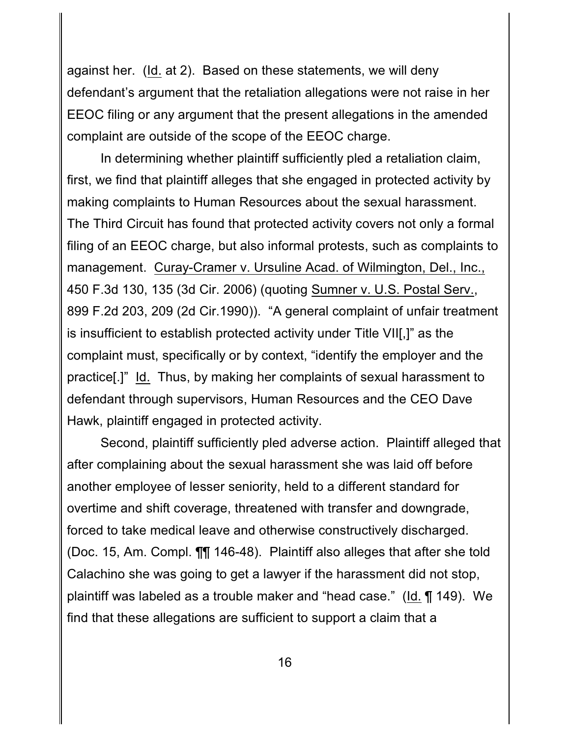against her. (Id. at 2). Based on these statements, we will deny defendant's argument that the retaliation allegations were not raise in her EEOC filing or any argument that the present allegations in the amended complaint are outside of the scope of the EEOC charge.

In determining whether plaintiff sufficiently pled a retaliation claim, first, we find that plaintiff alleges that she engaged in protected activity by making complaints to Human Resources about the sexual harassment. The Third Circuit has found that protected activity covers not only a formal filing of an EEOC charge, but also informal protests, such as complaints to management. Curay-Cramer v. Ursuline Acad. of Wilmington, Del., Inc., 450 F.3d 130, 135 (3d Cir. 2006) (quoting Sumner v. U.S. Postal Serv., 899 F.2d 203, 209 (2d Cir.1990)). "A general complaint of unfair treatment is insufficient to establish protected activity under Title VII[,]" as the complaint must, specifically or by context, "identify the employer and the practice[.]" Id. Thus, by making her complaints of sexual harassment to defendant through supervisors, Human Resources and the CEO Dave Hawk, plaintiff engaged in protected activity.

Second, plaintiff sufficiently pled adverse action. Plaintiff alleged that after complaining about the sexual harassment she was laid off before another employee of lesser seniority, held to a different standard for overtime and shift coverage, threatened with transfer and downgrade, forced to take medical leave and otherwise constructively discharged. (Doc. 15, Am. Compl. ¶¶ 146-48). Plaintiff also alleges that after she told Calachino she was going to get a lawyer if the harassment did not stop, plaintiff was labeled as a trouble maker and "head case." (Id. ¶ 149). We find that these allegations are sufficient to support a claim that a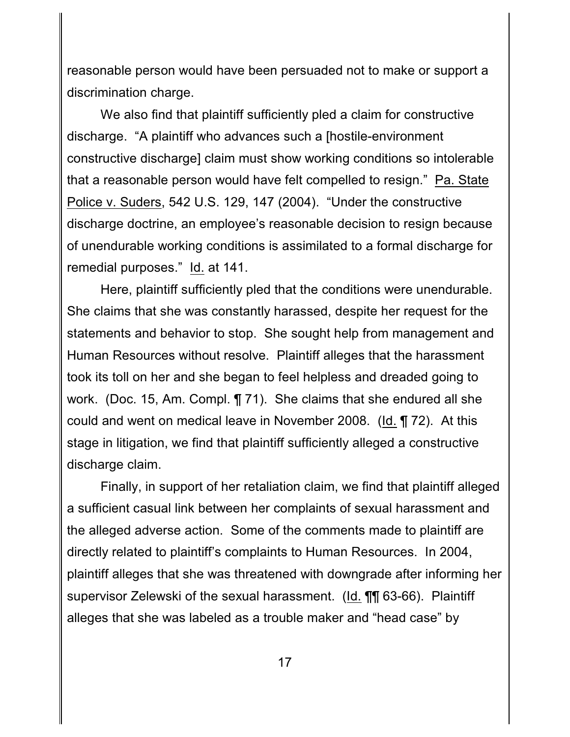reasonable person would have been persuaded not to make or support a discrimination charge.

We also find that plaintiff sufficiently pled a claim for constructive discharge."A plaintiff who advances such a [hostile-environment constructive discharge] claim must show working conditions so intolerable that a reasonable person would have felt compelled to resign." Pa. State Police v. Suders, 542 U.S. 129, 147 (2004). "Under the constructive discharge doctrine, an employee's reasonable decision to resign because of unendurable working conditions is assimilated to a formal discharge for remedial purposes." Id. at 141.

Here, plaintiff sufficiently pled that the conditions were unendurable. She claims that she was constantly harassed, despite her request for the statements and behavior to stop. She sought help from management and Human Resources without resolve. Plaintiff alleges that the harassment took its toll on her and she began to feel helpless and dreaded going to work. (Doc. 15, Am. Compl. ¶ 71). She claims that she endured all she could and went on medical leave in November 2008. (Id. ¶ 72). At this stage in litigation, we find that plaintiff sufficiently alleged a constructive discharge claim.

Finally, in support of her retaliation claim, we find that plaintiff alleged a sufficient casual link between her complaints of sexual harassment and the alleged adverse action. Some of the comments made to plaintiff are directly related to plaintiff's complaints to Human Resources. In 2004, plaintiff alleges that she was threatened with downgrade after informing her supervisor Zelewski of the sexual harassment. (Id. ¶¶ 63-66). Plaintiff alleges that she was labeled as a trouble maker and "head case" by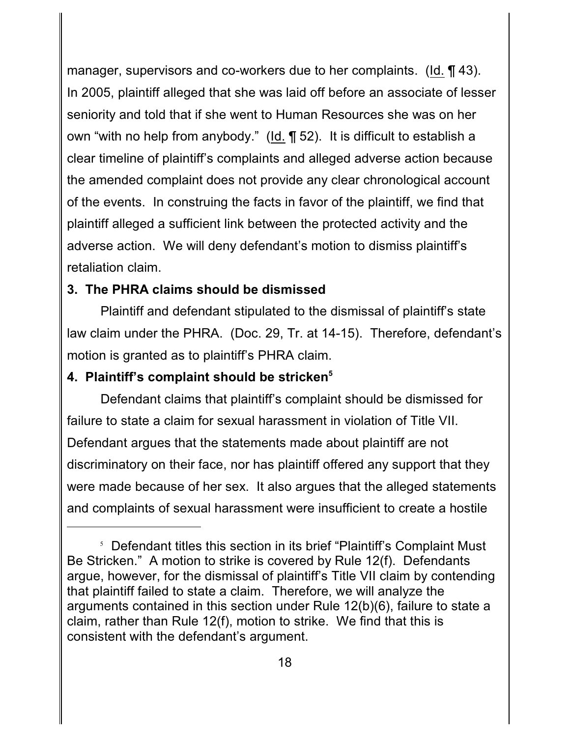manager, supervisors and co-workers due to her complaints. (Id. ¶ 43). In 2005, plaintiff alleged that she was laid off before an associate of lesser seniority and told that if she went to Human Resources she was on her own "with no help from anybody." (Id. ¶ 52). It is difficult to establish a clear timeline of plaintiff's complaints and alleged adverse action because the amended complaint does not provide any clear chronological account of the events. In construing the facts in favor of the plaintiff, we find that plaintiff alleged a sufficient link between the protected activity and the adverse action. We will deny defendant's motion to dismiss plaintiff's retaliation claim.

### **3. The PHRA claims should be dismissed**

Plaintiff and defendant stipulated to the dismissal of plaintiff's state law claim under the PHRA. (Doc. 29, Tr. at 14-15). Therefore, defendant's motion is granted as to plaintiff's PHRA claim.

# **4. Plaintiff's complaint should be stricken<sup>5</sup>**

Defendant claims that plaintiff's complaint should be dismissed for failure to state a claim for sexual harassment in violation of Title VII. Defendant argues that the statements made about plaintiff are not discriminatory on their face, nor has plaintiff offered any support that they were made because of her sex. It also argues that the alleged statements and complaints of sexual harassment were insufficient to create a hostile

 $5$  Defendant titles this section in its brief "Plaintiff's Complaint Must Be Stricken." A motion to strike is covered by Rule 12(f). Defendants argue, however, for the dismissal of plaintiff's Title VII claim by contending that plaintiff failed to state a claim. Therefore, we will analyze the arguments contained in this section under Rule 12(b)(6), failure to state a claim, rather than Rule 12(f), motion to strike. We find that this is consistent with the defendant's argument.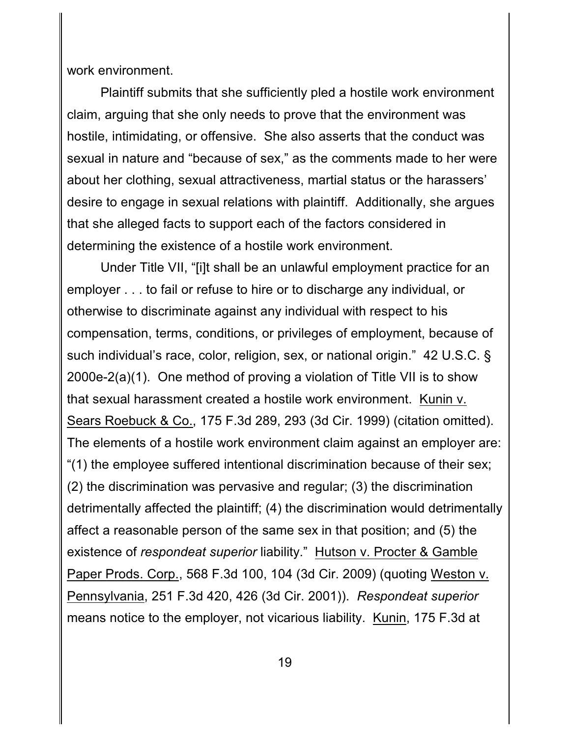work environment.

Plaintiff submits that she sufficiently pled a hostile work environment claim, arguing that she only needs to prove that the environment was hostile, intimidating, or offensive. She also asserts that the conduct was sexual in nature and "because of sex," as the comments made to her were about her clothing, sexual attractiveness, martial status or the harassers' desire to engage in sexual relations with plaintiff. Additionally, she argues that she alleged facts to support each of the factors considered in determining the existence of a hostile work environment.

Under Title VII, "[i]t shall be an unlawful employment practice for an employer . . . to fail or refuse to hire or to discharge any individual, or otherwise to discriminate against any individual with respect to his compensation, terms, conditions, or privileges of employment, because of such individual's race, color, religion, sex, or national origin." 42 U.S.C. § 2000e-2(a)(1). One method of proving a violation of Title VII is to show that sexual harassment created a hostile work environment. Kunin v. Sears Roebuck & Co., 175 F.3d 289, 293 (3d Cir. 1999) (citation omitted). The elements of a hostile work environment claim against an employer are: "(1) the employee suffered intentional discrimination because of their sex; (2) the discrimination was pervasive and regular; (3) the discrimination detrimentally affected the plaintiff; (4) the discrimination would detrimentally affect a reasonable person of the same sex in that position; and (5) the existence of *respondeat superior* liability." Hutson v. Procter & Gamble Paper Prods. Corp., 568 F.3d 100, 104 (3d Cir. 2009) (quoting Weston v. Pennsylvania, 251 F.3d 420, 426 (3d Cir. 2001)). *Respondeat superior* means notice to the employer, not vicarious liability. Kunin, 175 F.3d at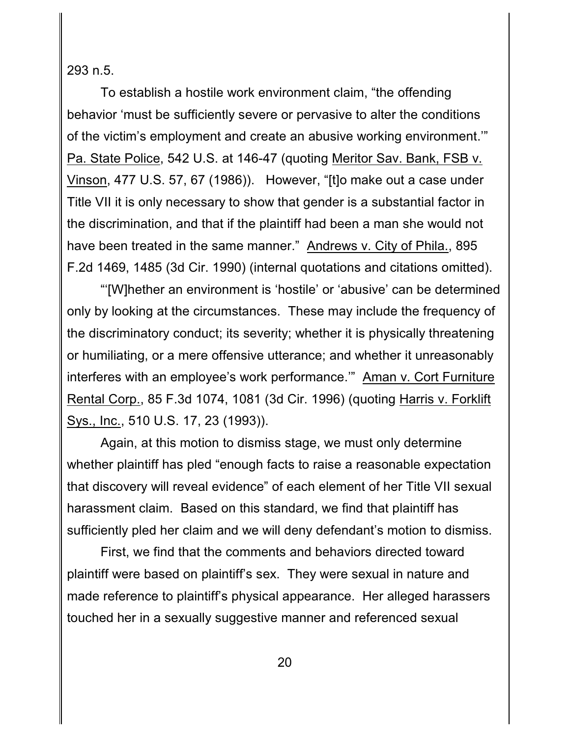293 n.5.

To establish a hostile work environment claim, "the offending behavior 'must be sufficiently severe or pervasive to alter the conditions of the victim's employment and create an abusive working environment.'" Pa. State Police, 542 U.S. at 146-47 (quoting Meritor Sav. Bank, FSB v. Vinson, 477 U.S. 57, 67 (1986)). However, "[t]o make out a case under Title VII it is only necessary to show that gender is a substantial factor in the discrimination, and that if the plaintiff had been a man she would not have been treated in the same manner." Andrews v. City of Phila., 895 F.2d 1469, 1485 (3d Cir. 1990) (internal quotations and citations omitted).

"'[W]hether an environment is 'hostile' or 'abusive' can be determined only by looking at the circumstances. These may include the frequency of the discriminatory conduct; its severity; whether it is physically threatening or humiliating, or a mere offensive utterance; and whether it unreasonably interferes with an employee's work performance.'" Aman v. Cort Furniture Rental Corp., 85 F.3d 1074, 1081 (3d Cir. 1996) (quoting Harris v. Forklift Sys., Inc., 510 U.S. 17, 23 (1993)).

Again, at this motion to dismiss stage, we must only determine whether plaintiff has pled "enough facts to raise a reasonable expectation that discovery will reveal evidence" of each element of her Title VII sexual harassment claim. Based on this standard, we find that plaintiff has sufficiently pled her claim and we will deny defendant's motion to dismiss.

First, we find that the comments and behaviors directed toward plaintiff were based on plaintiff's sex. They were sexual in nature and made reference to plaintiff's physical appearance. Her alleged harassers touched her in a sexually suggestive manner and referenced sexual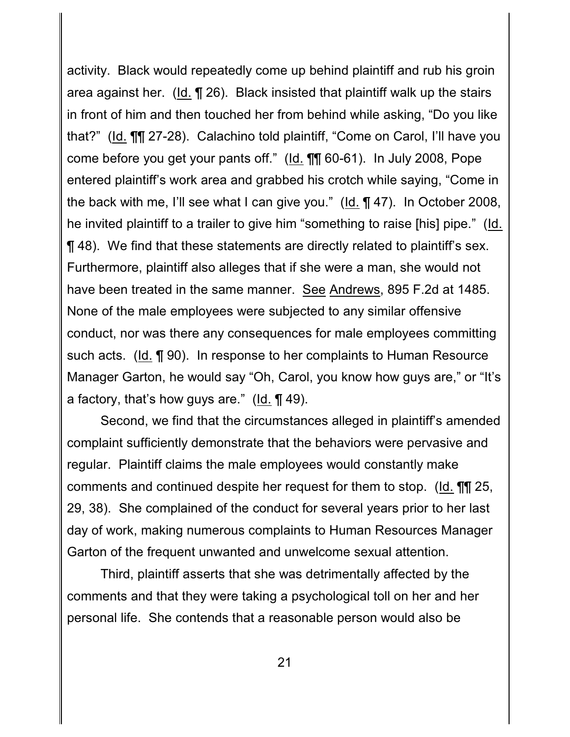activity. Black would repeatedly come up behind plaintiff and rub his groin area against her. (Id. ¶ 26). Black insisted that plaintiff walk up the stairs in front of him and then touched her from behind while asking, "Do you like that?" (Id. ¶¶ 27-28). Calachino told plaintiff, "Come on Carol, I'll have you come before you get your pants off." (Id. ¶¶ 60-61). In July 2008, Pope entered plaintiff's work area and grabbed his crotch while saying, "Come in the back with me, I'll see what I can give you." (Id. ¶ 47). In October 2008, he invited plaintiff to a trailer to give him "something to raise [his] pipe." (Id. ¶ 48). We find that these statements are directly related to plaintiff's sex. Furthermore, plaintiff also alleges that if she were a man, she would not have been treated in the same manner. See Andrews, 895 F.2d at 1485. None of the male employees were subjected to any similar offensive conduct, nor was there any consequences for male employees committing such acts. (Id. ¶ 90). In response to her complaints to Human Resource Manager Garton, he would say "Oh, Carol, you know how guys are," or "It's a factory, that's how guys are."  $(\underline{Id} \cdot \P 49)$ .

Second, we find that the circumstances alleged in plaintiff's amended complaint sufficiently demonstrate that the behaviors were pervasive and regular. Plaintiff claims the male employees would constantly make comments and continued despite her request for them to stop. (Id. ¶¶ 25, 29, 38). She complained of the conduct for several years prior to her last day of work, making numerous complaints to Human Resources Manager Garton of the frequent unwanted and unwelcome sexual attention.

Third, plaintiff asserts that she was detrimentally affected by the comments and that they were taking a psychological toll on her and her personal life. She contends that a reasonable person would also be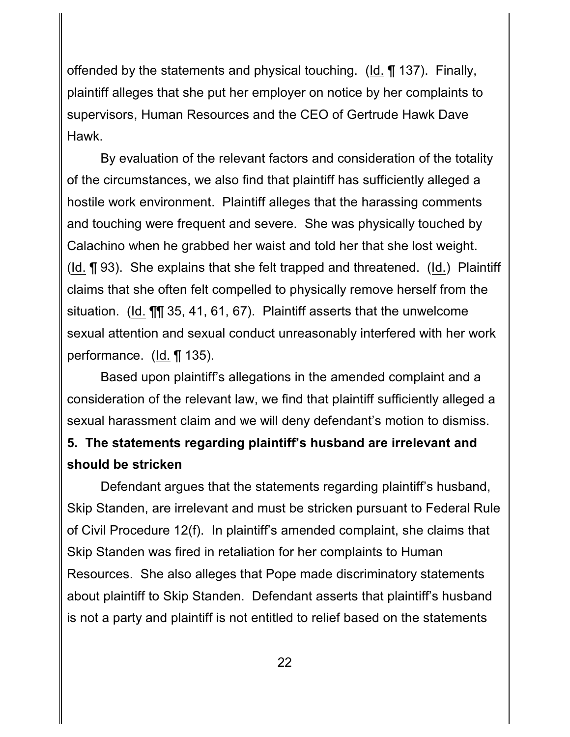offended by the statements and physical touching.  $(\underline{Id} \cdot \P \setminus 137)$ . Finally, plaintiff alleges that she put her employer on notice by her complaints to supervisors, Human Resources and the CEO of Gertrude Hawk Dave Hawk.

By evaluation of the relevant factors and consideration of the totality of the circumstances, we also find that plaintiff has sufficiently alleged a hostile work environment. Plaintiff alleges that the harassing comments and touching were frequent and severe. She was physically touched by Calachino when he grabbed her waist and told her that she lost weight. (Id. ¶ 93). She explains that she felt trapped and threatened. (Id.) Plaintiff claims that she often felt compelled to physically remove herself from the situation. (Id. ¶¶ 35, 41, 61, 67). Plaintiff asserts that the unwelcome sexual attention and sexual conduct unreasonably interfered with her work performance. (Id. ¶ 135).

Based upon plaintiff's allegations in the amended complaint and a consideration of the relevant law, we find that plaintiff sufficiently alleged a sexual harassment claim and we will deny defendant's motion to dismiss.

# **5. The statements regarding plaintiff's husband are irrelevant and should be stricken**

Defendant argues that the statements regarding plaintiff's husband, Skip Standen, are irrelevant and must be stricken pursuant to Federal Rule of Civil Procedure 12(f). In plaintiff's amended complaint, she claims that Skip Standen was fired in retaliation for her complaints to Human Resources. She also alleges that Pope made discriminatory statements about plaintiff to Skip Standen. Defendant asserts that plaintiff's husband is not a party and plaintiff is not entitled to relief based on the statements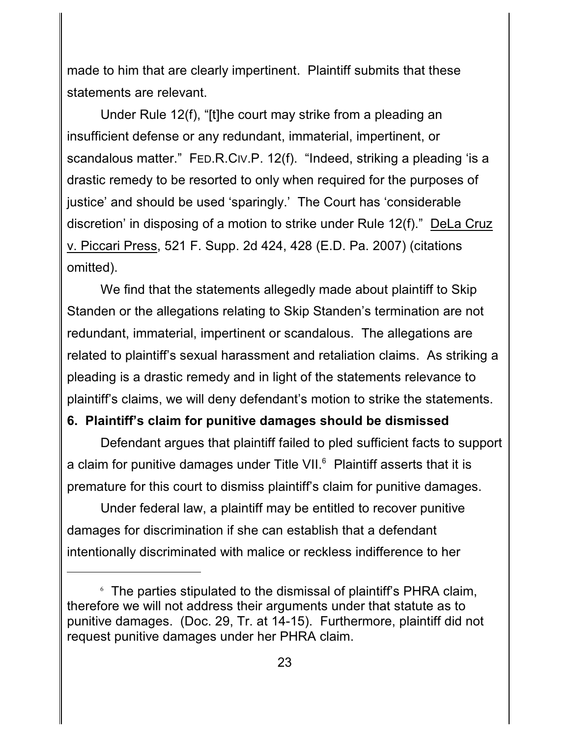made to him that are clearly impertinent. Plaintiff submits that these statements are relevant.

Under Rule 12(f), "[t]he court may strike from a pleading an insufficient defense or any redundant, immaterial, impertinent, or scandalous matter." FED.R.CIV.P. 12(f). "Indeed, striking a pleading 'is a drastic remedy to be resorted to only when required for the purposes of justice' and should be used 'sparingly.' The Court has 'considerable discretion' in disposing of a motion to strike under Rule 12(f)." DeLa Cruz v. Piccari Press, 521 F. Supp. 2d 424, 428 (E.D. Pa. 2007) (citations omitted).

We find that the statements allegedly made about plaintiff to Skip Standen or the allegations relating to Skip Standen's termination are not redundant, immaterial, impertinent or scandalous. The allegations are related to plaintiff's sexual harassment and retaliation claims. As striking a pleading is a drastic remedy and in light of the statements relevance to plaintiff's claims, we will deny defendant's motion to strike the statements.

#### **6. Plaintiff's claim for punitive damages should be dismissed**

Defendant argues that plaintiff failed to pled sufficient facts to support a claim for punitive damages under Title VII. $^6$  Plaintiff asserts that it is premature for this court to dismiss plaintiff's claim for punitive damages.

Under federal law, a plaintiff may be entitled to recover punitive damages for discrimination if she can establish that a defendant intentionally discriminated with malice or reckless indifference to her

 $6$ . The parties stipulated to the dismissal of plaintiff's PHRA claim, therefore we will not address their arguments under that statute as to punitive damages. (Doc. 29, Tr. at 14-15). Furthermore, plaintiff did not request punitive damages under her PHRA claim.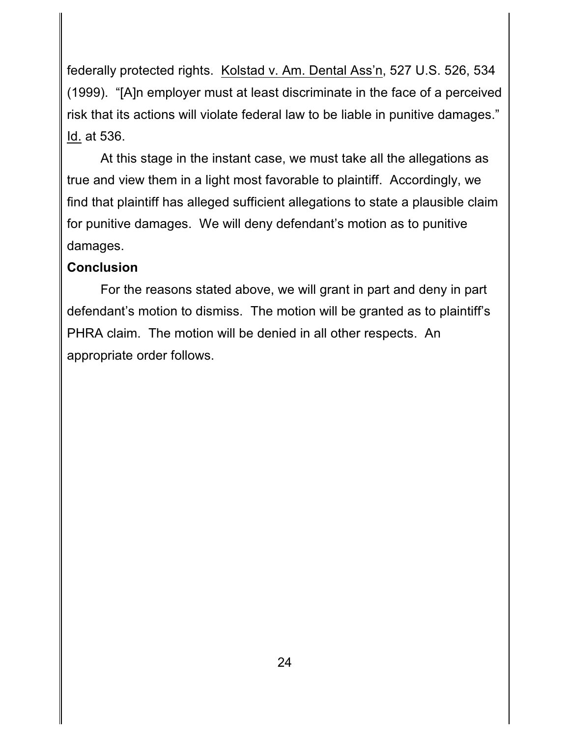federally protected rights. Kolstad v. Am. Dental Ass'n, 527 U.S. 526, 534 (1999). "[A]n employer must at least discriminate in the face of a perceived risk that its actions will violate federal law to be liable in punitive damages." Id. at 536.

At this stage in the instant case, we must take all the allegations as true and view them in a light most favorable to plaintiff. Accordingly, we find that plaintiff has alleged sufficient allegations to state a plausible claim for punitive damages. We will deny defendant's motion as to punitive damages.

### **Conclusion**

For the reasons stated above, we will grant in part and deny in part defendant's motion to dismiss. The motion will be granted as to plaintiff's PHRA claim. The motion will be denied in all other respects. An appropriate order follows.